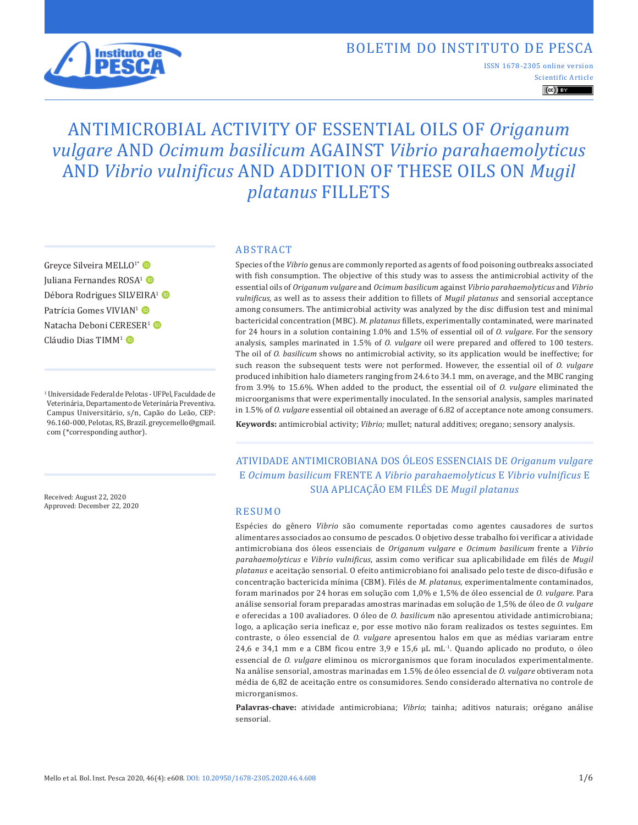## BOLETIM DO INSTITUTO DE PESCA



S[cientific Article](https://creativecommons.org/licenses/by/4.0/) ISSN 1678-2305 online version

 $\left(\mathrm{cc}\right)$  BY

# ANTIMICROBIAL ACTIVITY OF ESSENTIAL OILS OF *Origanum vulgare* AND *Ocimum basilicum* AGAINST *Vibrio parahaemolyticus* AND *Vibrio vulnificus* AND ADDITION OF THESE OILS ON *Mugil platanus* FILLETS

Greyce Silveira MELLO<sup>1\*</sup> Juliana Fernandes ROSA<sup>1</sup> Débora Rodrigues SILVEIRA<sup>1</sup> Patrícia Gomes VIVIAN<sup>1</sup> Natacha Deboni CERESER<sup>1</sup> Cláudio Dias TIMM<sup>1</sup>

1 Universidade Federal de Pelotas - UFPel, Faculdade de Veterinária, Departamento de Veterinária Preventiva. Campus Universitário, s/n, Capão do Leão, CEP: 96.160-000, Pelotas, RS, Brazil. greycemello@gmail. com (\*corresponding author).

Received: August 22, 2020 Approved: December 22, 2020

#### ABSTRACT

Species of the *Vibrio* genus are commonly reported as agents of food poisoning outbreaks associated with fish consumption. The objective of this study was to assess the antimicrobial activity of the essential oils of *Origanum vulgare* and *Ocimum basilicum* against *Vibrio parahaemolyticus* and *Vibrio vulnificus*, as well as to assess their addition to fillets of *Mugil platanus* and sensorial acceptance among consumers. The antimicrobial activity was analyzed by the disc diffusion test and minimal bactericidal concentration (MBC). *M. platanus* fillets, experimentally contaminated, were marinated for 24 hours in a solution containing 1.0% and 1.5% of essential oil of *O. vulgare*. For the sensory analysis, samples marinated in 1.5% of *O*. *vulgare* oil were prepared and offered to 100 testers. The oil of *O. basilicum* shows no antimicrobial activity, so its application would be ineffective; for such reason the subsequent tests were not performed. However, the essential oil of *O. vulgare* produced inhibition halo diameters ranging from 24.6 to 34.1 mm, on average, and the MBC ranging from 3.9% to 15.6%. When added to the product, the essential oil of *O. vulgare* eliminated the microorganisms that were experimentally inoculated. In the sensorial analysis, samples marinated in 1.5% of *O. vulgare* essential oil obtained an average of 6.82 of acceptance note among consumers.

**Keywords:** antimicrobial activity; *Vibrio;* mullet; natural additives; oregano; sensory analysis.

ATIVIDADE ANTIMICROBIANA DOS ÓLEOS ESSENCIAIS DE *Origanum vulgare* E *Ocimum basilicum* FRENTE A *Vibrio parahaemolyticus* E *Vibrio vulnificus* E SUA APLICAÇÃO EM FILÉS DE *Mugil platanus*

#### RESUMO

Espécies do gênero *Vibrio* são comumente reportadas como agentes causadores de surtos alimentares associados ao consumo de pescados. O objetivo desse trabalho foi verificar a atividade antimicrobiana dos óleos essenciais de *Origanum vulgare* e *Ocimum basilicum* frente a *Vibrio parahaemolyticus* e *Vibrio vulnificus*, assim como verificar sua aplicabilidade em filés de *Mugil platanus* e aceitação sensorial. O efeito antimicrobiano foi analisado pelo teste de disco-difusão e concentração bactericida mínima (CBM). Filés de *M. platanus,* experimentalmente contaminados, foram marinados por 24 horas em solução com 1,0% e 1,5% de óleo essencial de *O. vulgare.* Para análise sensorial foram preparadas amostras marinadas em solução de 1,5% de óleo de *O. vulgare* e oferecidas a 100 avaliadores. O óleo de *O. basilicum* não apresentou atividade antimicrobiana; logo, a aplicação seria ineficaz e, por esse motivo não foram realizados os testes seguintes. Em contraste, o óleo essencial de *O. vulgare* apresentou halos em que as médias variaram entre 24,6 e 34,1 mm e a CBM ficou entre 3,9 e 15,6 µL mL-1. Quando aplicado no produto, o óleo essencial de *O. vulgare* eliminou os microrganismos que foram inoculados experimentalmente. Na análise sensorial, amostras marinadas em 1.5% de óleo essencial de *O. vulgare* obtiveram nota média de 6,82 de aceitação entre os consumidores. Sendo considerado alternativa no controle de microrganismos.

**Palavras-chave:** atividade antimicrobiana; *Vibrio*; tainha; aditivos naturais; orégano análise sensorial.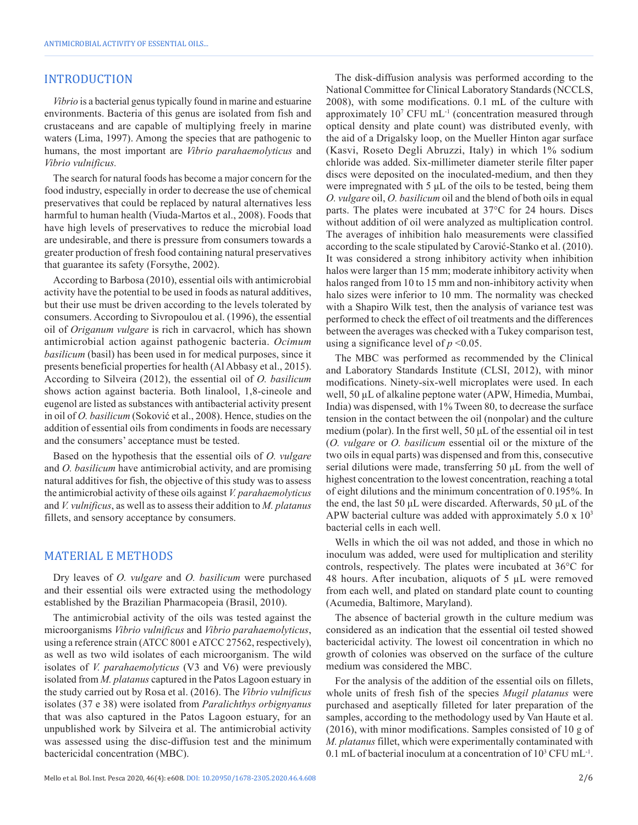#### INTRODUCTION

*Vibrio* is a bacterial genus typically found in marine and estuarine environments. Bacteria of this genus are isolated from fish and crustaceans and are capable of multiplying freely in marine waters (Lima, 1997). Among the species that are pathogenic to humans, the most important are *Vibrio parahaemolyticus* and *Vibrio vulnificus.*

The search for natural foods has become a major concern for the food industry, especially in order to decrease the use of chemical preservatives that could be replaced by natural alternatives less harmful to human health (Viuda-Martos et al., 2008). Foods that have high levels of preservatives to reduce the microbial load are undesirable, and there is pressure from consumers towards a greater production of fresh food containing natural preservatives that guarantee its safety (Forsythe, 2002).

According to Barbosa (2010), essential oils with antimicrobial activity have the potential to be used in foods as natural additives, but their use must be driven according to the levels tolerated by consumers. According to Sivropoulou et al. (1996), the essential oil of *Origanum vulgare* is rich in carvacrol, which has shown antimicrobial action against pathogenic bacteria. *Ocimum basilicum* (basil) has been used in for medical purposes, since it presents beneficial properties for health (Al Abbasy et al., 2015). According to Silveira (2012), the essential oil of *O. basilicum* shows action against bacteria. Both linalool, 1,8-cineole and eugenol are listed as substances with antibacterial activity present in oil of *O. basilicum* (Soković et al., 2008). Hence, studies on the addition of essential oils from condiments in foods are necessary and the consumers' acceptance must be tested.

Based on the hypothesis that the essential oils of *O. vulgare* and *O. basilicum* have antimicrobial activity, and are promising natural additives for fish, the objective of this study was to assess the antimicrobial activity of these oils against *V. parahaemolyticus* and *V. vulnificus*, as well as to assess their addition to *M. platanus* fillets, and sensory acceptance by consumers.

#### MATERIAL E METHODS

Dry leaves of *O. vulgare* and *O. basilicum* were purchased and their essential oils were extracted using the methodology established by the Brazilian Pharmacopeia (Brasil, 2010).

The antimicrobial activity of the oils was tested against the microorganisms *Vibrio vulnificus* and *Vibrio parahaemolyticus*, using a reference strain (ATCC 8001 e ATCC 27562, respectively), as well as two wild isolates of each microorganism. The wild isolates of *V. parahaemolyticus* (V3 and V6) were previously isolated from *M. platanus* captured in the Patos Lagoon estuary in the study carried out by Rosa et al. (2016). The *Vibrio vulnificus* isolates (37 e 38) were isolated from *Paralichthys orbignyanus* that was also captured in the Patos Lagoon estuary, for an unpublished work by Silveira et al. The antimicrobial activity was assessed using the disc-diffusion test and the minimum bactericidal concentration (MBC).

The disk-diffusion analysis was performed according to the National Committee for Clinical Laboratory Standards (NCCLS, 2008), with some modifications. 0.1 mL of the culture with approximately  $10<sup>7</sup>$  CFU mL<sup>-1</sup> (concentration measured through optical density and plate count) was distributed evenly, with the aid of a Drigalsky loop, on the Mueller Hinton agar surface (Kasvi, Roseto Degli Abruzzi, Italy) in which 1% sodium chloride was added. Six-millimeter diameter sterile filter paper discs were deposited on the inoculated-medium, and then they were impregnated with 5 μL of the oils to be tested, being them *O. vulgare* oil, *O. basilicum* oil and the blend of both oils in equal parts. The plates were incubated at 37°C for 24 hours. Discs without addition of oil were analyzed as multiplication control. The averages of inhibition halo measurements were classified according to the scale stipulated by Carović-Stanko et al. (2010). It was considered a strong inhibitory activity when inhibition halos were larger than 15 mm; moderate inhibitory activity when halos ranged from 10 to 15 mm and non-inhibitory activity when halo sizes were inferior to 10 mm. The normality was checked with a Shapiro Wilk test, then the analysis of variance test was performed to check the effect of oil treatments and the differences between the averages was checked with a Tukey comparison test, using a significance level of  $p < 0.05$ .

The MBC was performed as recommended by the Clinical and Laboratory Standards Institute (CLSI, 2012), with minor modifications. Ninety-six-well microplates were used. In each well, 50 µL of alkaline peptone water (APW, Himedia, Mumbai, India) was dispensed, with 1% Tween 80, to decrease the surface tension in the contact between the oil (nonpolar) and the culture medium (polar). In the first well, 50 μL of the essential oil in test (*O. vulgare* or *O. basilicum* essential oil or the mixture of the two oils in equal parts) was dispensed and from this, consecutive serial dilutions were made, transferring 50 μL from the well of highest concentration to the lowest concentration, reaching a total of eight dilutions and the minimum concentration of 0.195%. In the end, the last 50 μL were discarded. Afterwards, 50 μL of the APW bacterial culture was added with approximately 5.0 x 103 bacterial cells in each well.

Wells in which the oil was not added, and those in which no inoculum was added, were used for multiplication and sterility controls, respectively. The plates were incubated at 36°C for 48 hours. After incubation, aliquots of  $5 \mu L$  were removed from each well, and plated on standard plate count to counting (Acumedia, Baltimore, Maryland).

The absence of bacterial growth in the culture medium was considered as an indication that the essential oil tested showed bactericidal activity. The lowest oil concentration in which no growth of colonies was observed on the surface of the culture medium was considered the MBC.

For the analysis of the addition of the essential oils on fillets, whole units of fresh fish of the species *Mugil platanus* were purchased and aseptically filleted for later preparation of the samples, according to the methodology used by Van Haute et al. (2016), with minor modifications. Samples consisted of 10 g of *M. platanus* fillet, which were experimentally contaminated with 0.1 mL of bacterial inoculum at a concentration of  $10^3$  CFU mL<sup>-1</sup>.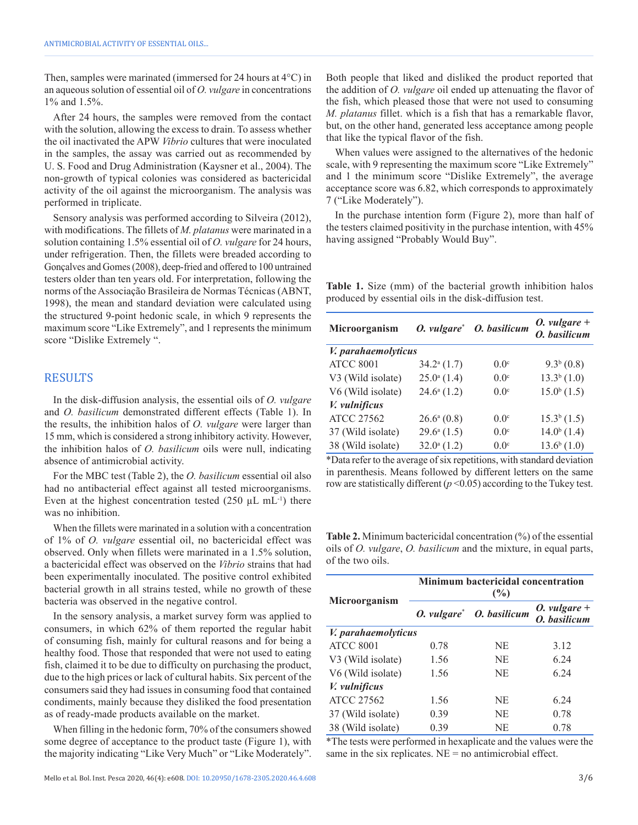Then, samples were marinated (immersed for 24 hours at 4°C) in an aqueous solution of essential oil of *O. vulgare* in concentrations 1% and 1.5%.

After 24 hours, the samples were removed from the contact with the solution, allowing the excess to drain. To assess whether the oil inactivated the APW *Vibrio* cultures that were inoculated in the samples, the assay was carried out as recommended by U. S. Food and Drug Administration (Kaysner et al., 2004). The non-growth of typical colonies was considered as bactericidal activity of the oil against the microorganism. The analysis was performed in triplicate.

Sensory analysis was performed according to Silveira (2012), with modifications. The fillets of *M. platanus* were marinated in a solution containing 1.5% essential oil of *O. vulgare* for 24 hours, under refrigeration. Then, the fillets were breaded according to Gonçalves and Gomes (2008), deep-fried and offered to 100 untrained testers older than ten years old. For interpretation, following the norms of the Associação Brasileira de Normas Técnicas (ABNT, 1998), the mean and standard deviation were calculated using the structured 9-point hedonic scale, in which 9 represents the maximum score "Like Extremely", and 1 represents the minimum score "Dislike Extremely ".

#### RESULTS

In the disk-diffusion analysis, the essential oils of *O. vulgare* and *O. basilicum* demonstrated different effects (Table 1). In the results, the inhibition halos of *O. vulgare* were larger than 15 mm, which is considered a strong inhibitory activity. However, the inhibition halos of *O. basilicum* oils were null, indicating absence of antimicrobial activity.

For the MBC test (Table 2), the *O. basilicum* essential oil also had no antibacterial effect against all tested microorganisms. Even at the highest concentration tested  $(250 \mu L \text{ mL}^{-1})$  there was no inhibition.

When the fillets were marinated in a solution with a concentration of 1% of *O. vulgare* essential oil, no bactericidal effect was observed. Only when fillets were marinated in a 1.5% solution, a bactericidal effect was observed on the *Vibrio* strains that had been experimentally inoculated. The positive control exhibited bacterial growth in all strains tested, while no growth of these bacteria was observed in the negative control.

In the sensory analysis, a market survey form was applied to consumers, in which 62% of them reported the regular habit of consuming fish, mainly for cultural reasons and for being a healthy food. Those that responded that were not used to eating fish, claimed it to be due to difficulty on purchasing the product, due to the high prices or lack of cultural habits. Six percent of the consumers said they had issues in consuming food that contained condiments, mainly because they disliked the food presentation as of ready-made products available on the market.

When filling in the hedonic form, 70% of the consumers showed some degree of acceptance to the product taste (Figure 1), with the majority indicating "Like Very Much" or "Like Moderately".

Both people that liked and disliked the product reported that the addition of *O. vulgare* oil ended up attenuating the flavor of the fish, which pleased those that were not used to consuming *M. platanus* fillet. which is a fish that has a remarkable flavor, but, on the other hand, generated less acceptance among people that like the typical flavor of the fish.

When values were assigned to the alternatives of the hedonic scale, with 9 representing the maximum score "Like Extremely" and 1 the minimum score "Dislike Extremely", the average acceptance score was 6.82, which corresponds to approximately 7 ("Like Moderately").

In the purchase intention form (Figure 2), more than half of the testers claimed positivity in the purchase intention, with 45% having assigned "Probably Would Buy".

**Table 1.** Size (mm) of the bacterial growth inhibition halos produced by essential oils in the disk-diffusion test.

| Microorganism       |                          | O. vulgare* O. basilicum | <i>O.</i> vulgare $+$<br>O. basilicum |  |
|---------------------|--------------------------|--------------------------|---------------------------------------|--|
| V. parahaemolyticus |                          |                          |                                       |  |
| <b>ATCC 8001</b>    | $34.2^{\mathrm{a}}(1.7)$ | 0.0 <sup>c</sup>         | 9.3 <sup>b</sup> (0.8)                |  |
| V3 (Wild isolate)   | $25.0^{\circ}$ (1.4)     | 0.0 <sup>c</sup>         | $13.3^{b}$ $(1.0)$                    |  |
| V6 (Wild isolate)   | $24.6^{\circ}$ (1.2)     | 0.0 <sup>c</sup>         | $15.0^{b}$ $(1.5)$                    |  |
| V. vulnificus       |                          |                          |                                       |  |
| <b>ATCC 27562</b>   | $26.6^a(0.8)$            | 0.0 <sup>c</sup>         | $15.3b$ (1.5)                         |  |
| 37 (Wild isolate)   | $29.6^{\mathrm{a}}(1.5)$ | 0.0 <sup>c</sup>         | $14.0^{b}$ (1.4)                      |  |
| 38 (Wild isolate)   | $32.0^{\circ}$ (1.2)     | 0.0 <sup>c</sup>         | $13.6^{b}$ $(1.0)$                    |  |

\*Data refer to the average of six repetitions, with standard deviation in parenthesis. Means followed by different letters on the same row are statistically different  $(p<0.05)$  according to the Tukey test.

**Table 2.** Minimum bactericidal concentration (%) of the essential oils of *O. vulgare*, *O. basilicum* and the mixture, in equal parts, of the two oils.

| Microorganism              | <b>Minimum bactericidal concentration</b><br>(%) |                          |                                |  |  |
|----------------------------|--------------------------------------------------|--------------------------|--------------------------------|--|--|
|                            |                                                  | O. vulgare* O. basilicum | O. vulgare $+$<br>O. basilicum |  |  |
| <i>V. parahaemolyticus</i> |                                                  |                          |                                |  |  |
| <b>ATCC 8001</b>           | 0.78                                             | NE                       | 3.12                           |  |  |
| V3 (Wild isolate)          | 1.56                                             | NE                       | 6 24                           |  |  |
| V6 (Wild isolate)          | 1.56                                             | NE                       | 6.24                           |  |  |
| V. vulnificus              |                                                  |                          |                                |  |  |
| <b>ATCC 27562</b>          | 1.56                                             | NE                       | 6.24                           |  |  |
| 37 (Wild isolate)          | 0.39                                             | NE                       | 0.78                           |  |  |
| 38 (Wild isolate)          | 0.39                                             | NE                       | 0.78                           |  |  |

\*The tests were performed in hexaplicate and the values were the same in the six replicates.  $NE = no$  antimicrobial effect.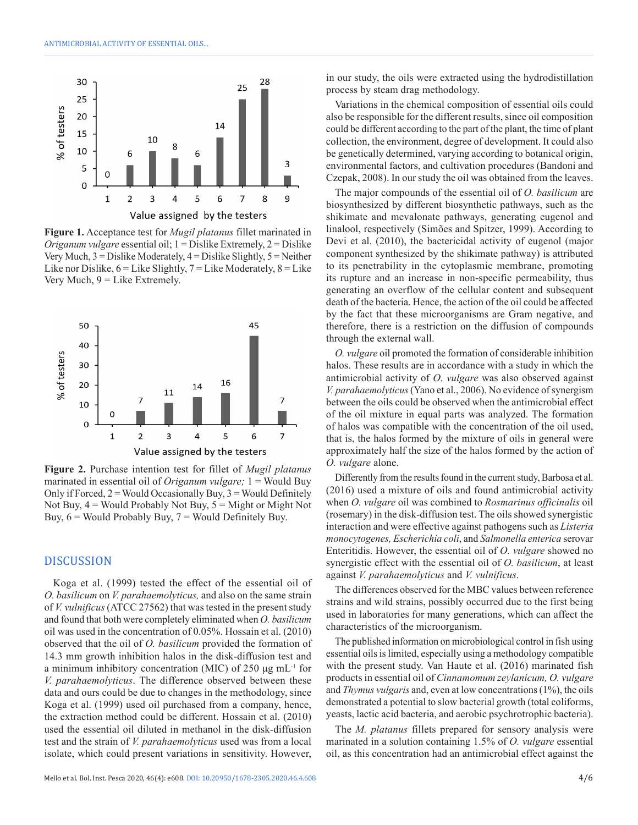

**Figure 1.** Acceptance test for *Mugil platanus* fillet marinated in *Origanum vulgare* essential oil; 1 = Dislike Extremely, 2 = Dislike Very Much, 3 = Dislike Moderately, 4 = Dislike Slightly, 5 = Neither Like nor Dislike,  $6 =$  Like Slightly,  $7 =$  Like Moderately,  $8 =$  Like Very Much,  $9 =$  Like Extremely.



**Figure 2.** Purchase intention test for fillet of *Mugil platanus* marinated in essential oil of *Origanum vulgare;* 1 = Would Buy Only if Forced,  $2 =$  Would Occasionally Buy,  $3 =$  Would Definitely Not Buy,  $4 =$  Would Probably Not Buy,  $5 =$  Might or Might Not Buy,  $6 =$  Would Probably Buy,  $7 =$  Would Definitely Buy.

#### DISCUSSION

Koga et al. (1999) tested the effect of the essential oil of *O. basilicum* on *V. parahaemolyticus,* and also on the same strain of *V. vulnificus* (ATCC 27562) that was tested in the present study and found that both were completely eliminated when *O. basilicum* oil was used in the concentration of 0.05%. Hossain et al. (2010) observed that the oil of *O. basilicum* provided the formation of 14.3 mm growth inhibition halos in the disk-diffusion test and a minimum inhibitory concentration (MIC) of 250 μg mL-1 for *V. parahaemolyticus*. The difference observed between these data and ours could be due to changes in the methodology, since Koga et al. (1999) used oil purchased from a company, hence, the extraction method could be different. Hossain et al. (2010) used the essential oil diluted in methanol in the disk-diffusion test and the strain of *V. parahaemolyticus* used was from a local isolate, which could present variations in sensitivity. However, in our study, the oils were extracted using the hydrodistillation process by steam drag methodology.

Variations in the chemical composition of essential oils could also be responsible for the different results, since oil composition could be different according to the part of the plant, the time of plant collection, the environment, degree of development. It could also be genetically determined, varying according to botanical origin, environmental factors, and cultivation procedures (Bandoni and Czepak, 2008). In our study the oil was obtained from the leaves.

The major compounds of the essential oil of *O. basilicum* are biosynthesized by different biosynthetic pathways, such as the shikimate and mevalonate pathways, generating eugenol and linalool, respectively (Simões and Spitzer, 1999). According to Devi et al. (2010), the bactericidal activity of eugenol (major component synthesized by the shikimate pathway) is attributed to its penetrability in the cytoplasmic membrane, promoting its rupture and an increase in non-specific permeability, thus generating an overflow of the cellular content and subsequent death of the bacteria. Hence, the action of the oil could be affected by the fact that these microorganisms are Gram negative, and therefore, there is a restriction on the diffusion of compounds through the external wall.

*O. vulgare* oil promoted the formation of considerable inhibition halos. These results are in accordance with a study in which the antimicrobial activity of *O. vulgare* was also observed against *V. parahaemolyticus* (Yano et al., 2006). No evidence of synergism between the oils could be observed when the antimicrobial effect of the oil mixture in equal parts was analyzed. The formation of halos was compatible with the concentration of the oil used, that is, the halos formed by the mixture of oils in general were approximately half the size of the halos formed by the action of *O. vulgare* alone.

Differently from the results found in the current study, Barbosa et al. (2016) used a mixture of oils and found antimicrobial activity when *O. vulgare* oil was combined to *Rosmarinus officinalis* oil (rosemary) in the disk-diffusion test. The oils showed synergistic interaction and were effective against pathogens such as *Listeria monocytogenes, Escherichia coli*, and *Salmonella enterica* serovar Enteritidis. However, the essential oil of *O. vulgare* showed no synergistic effect with the essential oil of *O. basilicum*, at least against *V. parahaemolyticus* and *V. vulnificus*.

The differences observed for the MBC values between reference strains and wild strains, possibly occurred due to the first being used in laboratories for many generations, which can affect the characteristics of the microorganism.

The published information on microbiological control in fish using essential oils is limited, especially using a methodology compatible with the present study. Van Haute et al. (2016) marinated fish products in essential oil of *Cinnamomum zeylanicum, O. vulgare* and *Thymus vulgaris* and, even at low concentrations (1%), the oils demonstrated a potential to slow bacterial growth (total coliforms, yeasts, lactic acid bacteria, and aerobic psychrotrophic bacteria).

The *M. platanus* fillets prepared for sensory analysis were marinated in a solution containing 1.5% of *O. vulgare* essential oil, as this concentration had an antimicrobial effect against the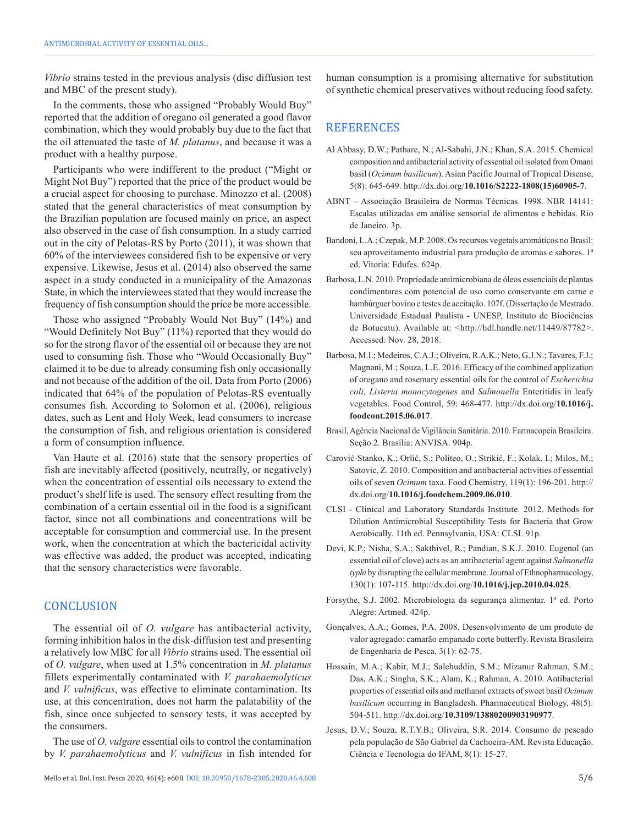*Vibrio* strains tested in the previous analysis (disc diffusion test and MBC of the present study).

In the comments, those who assigned "Probably Would Buy" reported that the addition of oregano oil generated a good flavor combination, which they would probably buy due to the fact that the oil attenuated the taste of *M. platanus*, and because it was a product with a healthy purpose.

Participants who were indifferent to the product ("Might or Might Not Buy") reported that the price of the product would be a crucial aspect for choosing to purchase. Minozzo et al. (2008) stated that the general characteristics of meat consumption by the Brazilian population are focused mainly on price, an aspect also observed in the case of fish consumption. In a study carried out in the city of Pelotas-RS by Porto (2011), it was shown that 60% of the interviewees considered fish to be expensive or very expensive. Likewise, Jesus et al. (2014) also observed the same aspect in a study conducted in a municipality of the Amazonas State, in which the interviewees stated that they would increase the frequency of fish consumption should the price be more accessible.

Those who assigned "Probably Would Not Buy" (14%) and "Would Definitely Not Buy" (11%) reported that they would do so for the strong flavor of the essential oil or because they are not used to consuming fish. Those who "Would Occasionally Buy" claimed it to be due to already consuming fish only occasionally and not because of the addition of the oil. Data from Porto (2006) indicated that 64% of the population of Pelotas-RS eventually consumes fish. According to Solomon et al. (2006), religious dates, such as Lent and Holy Week, lead consumers to increase the consumption of fish, and religious orientation is considered a form of consumption influence.

Van Haute et al. (2016) state that the sensory properties of fish are inevitably affected (positively, neutrally, or negatively) when the concentration of essential oils necessary to extend the product's shelf life is used. The sensory effect resulting from the combination of a certain essential oil in the food is a significant factor, since not all combinations and concentrations will be acceptable for consumption and commercial use. In the present work, when the concentration at which the bactericidal activity was effective was added, the product was accepted, indicating that the sensory characteristics were favorable.

#### **CONCLUSION**

The essential oil of *O. vulgare* has antibacterial activity, forming inhibition halos in the disk-diffusion test and presenting a relatively low MBC for all *Vibrio* strains used. The essential oil of *O. vulgare*, when used at 1.5% concentration in *M. platanus* fillets experimentally contaminated with *V. parahaemolyticus* and *V. vulnificus*, was effective to eliminate contamination. Its use, at this concentration, does not harm the palatability of the fish, since once subjected to sensory tests, it was accepted by the consumers.

The use of *O. vulgare* essential oils to control the contamination by *V. parahaemolyticus* and *V. vulnificus* in fish intended for human consumption is a promising alternative for substitution of synthetic chemical preservatives without reducing food safety.

### **REFERENCES**

- Al Abbasy, D.W.; Pathare, N.; Al-Sabahi, J.N.; Khan, S.A. 2015. Chemical composition and antibacterial activity of essential oil isolated from Omani basil (*Ocimum basilicum*). Asian Pacific Journal of Tropical Disease, 5(8): 645-649. http://dx.doi.org/**[10.1016/S2222-1808\(15\)60905-7](https://doi.org/10.1016/S2222-1808(15)60905-7)**.
- ABNT Associação Brasileira de Normas Técnicas. 1998. NBR 14141: Escalas utilizadas em análise sensorial de alimentos e bebidas. Rio de Janeiro. 3p.
- Bandoni, L.A.; Czepak, M.P. 2008. Os recursos vegetais aromáticos no Brasil: seu aproveitamento industrial para produção de aromas e sabores. 1ª ed. Vitoria: Edufes. 624p.
- Barbosa, L.N. 2010. Propriedade antimicrobiana de óleos essenciais de plantas condimentares com potencial de uso como conservante em carne e hambúrguer bovino e testes de aceitação. 107f. (Dissertação de Mestrado. Universidade Estadual Paulista - UNESP, Instituto de Biociências de Botucatu). Available at: <http://hdl.handle.net/11449/87782>. Accessed: Nov. 28, 2018.
- Barbosa, M.I.; Medeiros, C.A.J.; Oliveira, R.A.K.; Neto, G.J.N.; Tavares, F.J.; Magnani, M.; Souza, L.E. 2016. Efficacy of the combined applization of oregano and rosemary essential oils for the control of *Escherichia coli, Listeria monocytogenes* and *Salmonella* Enteritidis in leafy vegetables. Food Control, 59: 468-477. http://dx.doi.org/**10.1016/j. foodcont.2015.06.017**.
- Brasil, Agência Nacional de Vigilância Sanitária. 2010. Farmacopeia Brasileira. Seção 2. Brasília: ANVISA. 904p.
- Carović-Stanko, K.; Orlić, S.; Politeo, O.; Strikić, F.; Kolak, I.; Milos, M.; Satovic, Z. 2010. Composition and antibacterial activities of essential oils of seven *Ocimum* taxa. Food Chemistry, 119(1): 196-201. http:// dx.doi.org/**10.1016/j.foodchem.2009.06.010**.
- CLSI Clinical and Laboratory Standards Institute. 2012. Methods for Dilution Antimicrobial Susceptibility Tests for Bacteria that Grow Aerobically. 11th ed. Pennsylvania, USA: CLSI. 91p.
- Devi, K.P.; Nisha, S.A.; Sakthivel, R.; Pandian, S.K.J. 2010. Eugenol (an essential oil of clove) acts as an antibacterial agent against *Salmonella typhi* by disrupting the cellular membrane. Journal of Ethnopharmacology, 130(1): 107-115. http://dx.doi.org/**10.1016/j.jep.2010.04.025**.
- Forsythe, S.J. 2002. Microbiologia da segurança alimentar. 1ª ed. Porto Alegre: Artmed. 424p.
- Gonçalves, A.A.; Gomes, P.A. 2008. Desenvolvimento de um produto de valor agregado: camarão empanado corte butterfly. Revista Brasileira de Engenharia de Pesca, 3(1): 62-75.
- Hossain, M.A.; Kabir, M.J.; Salehuddin, S.M.; Mizanur Rahman, S.M.; Das, A.K.; Singha, S.K.; Alam, K.; Rahman, A. 2010. Antibacterial properties of essential oils and methanol extracts of sweet basil *Ocimum basilicum* occurring in Bangladesh. Pharmaceutical Biology, 48(5): 504-511. http://dx.doi.org/**10.3109/13880200903190977**.
- Jesus, D.V.; Souza, R.T.Y.B.; Oliveira, S.R. 2014. Consumo de pescado pela população de São Gabriel da Cachoeira-AM. Revista Educação. Ciência e Tecnologia do IFAM, 8(1): 15-27.